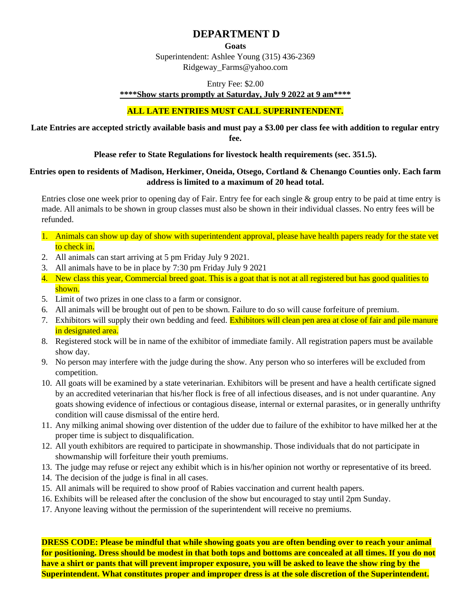# **DEPARTMENT D**

**Goats**

Superintendent: Ashlee Young (315) 436-2369 Ridgeway\_Farms@yahoo.com

Entry Fee: \$2.00

**\*\*\*\*Show starts promptly at Saturday, July 9 2022 at 9 am\*\*\*\*** 

#### **ALL LATE ENTRIES MUST CALL SUPERINTENDENT.**

#### **Late Entries are accepted strictly available basis and must pay a \$3.00 per class fee with addition to regular entry fee.**

#### **Please refer to State Regulations for livestock health requirements (sec. 351.5).**

#### **Entries open to residents of Madison, Herkimer, Oneida, Otsego, Cortland & Chenango Counties only. Each farm address is limited to a maximum of 20 head total.**

Entries close one week prior to opening day of Fair. Entry fee for each single & group entry to be paid at time entry is made. All animals to be shown in group classes must also be shown in their individual classes. No entry fees will be refunded.

- 1. Animals can show up day of show with superintendent approval, please have health papers ready for the state vet to check in.
- 2. All animals can start arriving at 5 pm Friday July 9 2021.
- 3. All animals have to be in place by 7:30 pm Friday July 9 2021
- 4. New class this year, Commercial breed goat. This is a goat that is not at all registered but has good qualities to shown.
- 5. Limit of two prizes in one class to a farm or consignor.
- 6. All animals will be brought out of pen to be shown. Failure to do so will cause forfeiture of premium.
- 7. Exhibitors will supply their own bedding and feed. Exhibitors will clean pen area at close of fair and pile manure in designated area.
- 8. Registered stock will be in name of the exhibitor of immediate family. All registration papers must be available show day.
- 9. No person may interfere with the judge during the show. Any person who so interferes will be excluded from competition.
- 10. All goats will be examined by a state veterinarian. Exhibitors will be present and have a health certificate signed by an accredited veterinarian that his/her flock is free of all infectious diseases, and is not under quarantine. Any goats showing evidence of infectious or contagious disease, internal or external parasites, or in generally unthrifty condition will cause dismissal of the entire herd.
- 11. Any milking animal showing over distention of the udder due to failure of the exhibitor to have milked her at the proper time is subject to disqualification.
- 12. All youth exhibitors are required to participate in showmanship. Those individuals that do not participate in showmanship will forfeiture their youth premiums.
- 13. The judge may refuse or reject any exhibit which is in his/her opinion not worthy or representative of its breed.
- 14. The decision of the judge is final in all cases.
- 15. All animals will be required to show proof of Rabies vaccination and current health papers.
- 16. Exhibits will be released after the conclusion of the show but encouraged to stay until 2pm Sunday.
- 17. Anyone leaving without the permission of the superintendent will receive no premiums.

**DRESS CODE: Please be mindful that while showing goats you are often bending over to reach your animal for positioning. Dress should be modest in that both tops and bottoms are concealed at all times. If you do not have a shirt or pants that will prevent improper exposure, you will be asked to leave the show ring by the Superintendent. What constitutes proper and improper dress is at the sole discretion of the Superintendent.**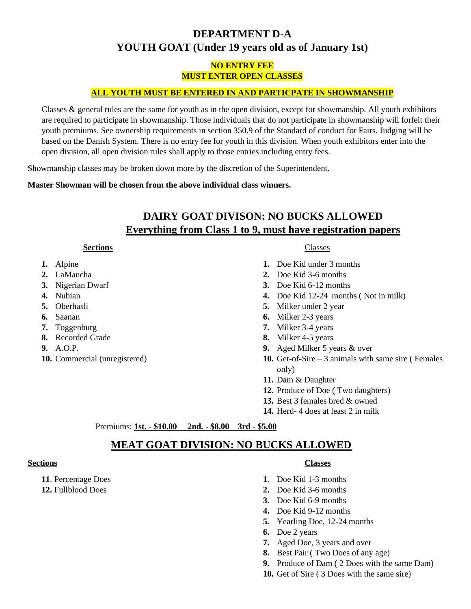# **DEPARTMENT D-A YOUTH GOAT (Under 19 years old as of January 1st)**

### **NO ENTRY FEE MUST ENTER OPEN CLASSES**

#### **ALL YOUTH MUST BE ENTERED IN AND PARTICPATE IN SHOWMANSHIP**

Classes & general rules are the same for youth as in the open division, except for showmanship. All youth exhibitors are required to participate in showmanship. Those individuals that do not participate in showmanship will forfeit their youth premiums. See ownership requirements in section 350.9 of the Standard of conduct for Fairs. Judging will be based on the Danish System. There is no entry fee for youth in this division. When youth exhibitors enter into the open division, all open division rules shall apply to those entries including entry fees.

Showmanship classes may be broken down more by the discretion of the Superintendent.

**Master Showman will be chosen from the above individual class winners.** 

# **DAIRY GOAT DIVISON: NO BUCKS ALLOWED Everything from Class 1 to 9, must have registration papers**

#### **Sections**

- **1.** Alpine
- **2.** LaMancha
- **3.** Nigerian Dwarf
- **4.** Nubian
- **5.** Oberhasli
- **6.** Saanan
- **7.** Toggenburg
- **8.** Recorded Grade
- **9.** A.O.P.
- **10.** Commercial (unregistered)

#### Classes

- **1.** Doe Kid under 3 months
- **2.** Doe Kid 3-6 months
- **3.** Doe Kid 6-12 months
- **4.** Doe Kid 12-24 months ( Not in milk)
- **5.** Milker under 2 year
- **6.** Milker 2-3 years
- **7.** Milker 3-4 years
- **8.** Milker 4-5 years
- **9.** Aged Milker 5 years & over
- **10.** Get-of-Sire 3 animals with same sire ( Females only)
- **11.** Dam & Daughter
- **12.** Produce of Doe ( Two daughters)
- **13.** Best 3 females bred & owned
- **14.** Herd- 4 does at least 2 in milk

Premiums: **1st. - \$10.00 2nd. - \$8.00 3rd - \$5.00**

# **MEAT GOAT DIVISION: NO BUCKS ALLOWED**

#### **Sections**

- **11**. Percentage Does
- **12.** Fullblood Does

#### **Classes**

- **1.** Doe Kid 1-3 months
- **2.** Doe Kid 3-6 months
- **3.** Doe Kid 6-9 months
- **4.** Doe Kid 9-12 months
- **5.** Yearling Doe, 12-24 months
- **6.** Doe 2 years
- **7.** Aged Doe, 3 years and over
- **8.** Best Pair ( Two Does of any age)
- **9.** Produce of Dam ( 2 Does with the same Dam)
- **10.** Get of Sire ( 3 Does with the same sire)